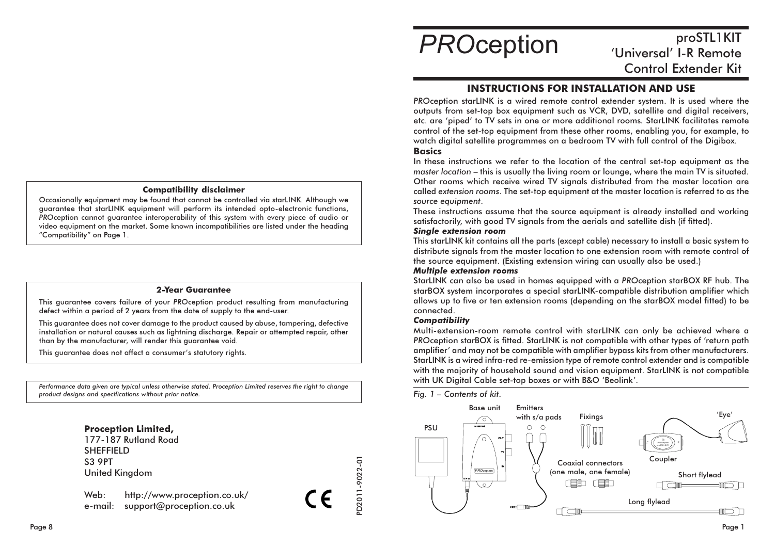#### **Compatibility disclaimer**

Occasionally equipment may be found that cannot be controlled via starLINK. Although we guarantee that starLINK equipment will perform its intended opto-electronic functions, PROception cannot augrantee interoperability of this system with every piece of audio or video equipment on the market. Some known incompatibilities are listed under the heading "Compatibility" on Page 1.

#### 2-Year Guarantee

This quarantee covers failure of your PROception product resulting from manufacturing defect within a period of 2 years from the date of supply to the end-user.

This guarantee does not cover damage to the product caused by abuse, tampering, defective installation or natural causes such as lightning discharge. Repair or attempted repair, other than by the manufacturer, will render this quarantee void.

This guarantee does not affect a consumer's statutory rights.

Performance data given are typical unless otherwise stated. Proception Limited reserves the right to change product designs and specifications without prior notice.

# **Proception Limited.**

177-187 Rutland Road **SHEFFIELD S3 9PT United Kingdom** 

Web: http://www.proception.co.uk/ e-mail: support@proception.co.uk

# **PROception**

# proSTL1KIT 'Universal' I-R Remote **Control Extender Kit**

# **INSTRUCTIONS FOR INSTALLATION AND USE**

PROception starLINK is a wired remote control extender system. It is used where the outputs from set-top box equipment such as VCR, DVD, satellite and digital receivers, etc. are 'piped' to TV sets in one or more additional rooms. StarLINK facilitates remote control of the set-top equipment from these other rooms, enabling you, for example, to watch digital satellite programmes on a bedroom TV with full control of the Digibox. **Basics** 

In these instructions we refer to the location of the central set-top equipment as the master location – this is usually the living room or lounge, where the main TV is situated. Other rooms which receive wired TV signals distributed from the master location are called extension rooms. The set-top equipment at the master location is referred to as the source equipment.

These instructions assume that the source equipment is already installed and working satisfactorily, with good TV signals from the gerials and satellite dish (if fitted).

#### **Sinale extension room**

This starLINK kit contains all the parts (except cable) necessary to install a basic system to distribute signals from the master location to one extension room with remote control of the source equipment. (Existing extension wiring can usually also be used.)

#### **Multiple extension rooms**

StarLINK can also be used in homes equipped with a PROception starBOX RF hub. The starBOX system incorporates a special starLINK-compatible distribution amplifier which allows up to five or ten extension rooms (depending on the starBOX model fitted) to be connected.

#### **Compatibility**

D2011-9022-01

Multi-extension-room remote control with starLINK can only be achieved where a PROception starBOX is fitted. StarLINK is not compatible with other types of 'return path amplifier' and may not be compatible with amplifier bypass kits from other manufacturers. StarLINK is a wired infra-red re-emission type of remote control extender and is compatible with the majority of household sound and vision equipment. StarLINK is not compatible with UK Digital Cable set-top boxes or with B&O 'Beolink'.

Fig. 1 - Contents of kit.

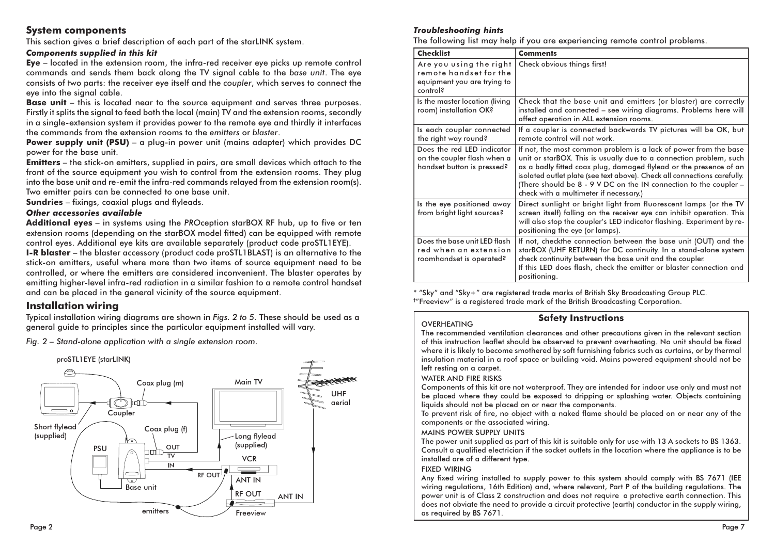#### **System components**

This section gives a brief description of each part of the starLINK system.

#### **Components supplied in this kit**

 $Eye - located in the extension room, the infra-red receiver eye picks up remote control$ commands and sends them back along the TV signal cable to the base unit. The eye consists of two parts: the receiver eve itself and the coupler, which serves to connect the eve into the signal cable.

**Base unit** - this is located near to the source equipment and serves three purposes. Firstly it splits the signal to feed both the local (main) TV and the extension rooms, secondly in a single-extension system it provides power to the remote eye and thirdly it interfaces the commands from the extension rooms to the emitters or blaster.

Power supply unit (PSU) - a plug-in power unit (mains adapter) which provides DC power for the base unit.

**Emitters** - the stick-on emitters, supplied in pairs, are small devices which attach to the front of the source equipment you wish to control from the extension rooms. They plug into the base unit and re-emit the infra-red commands relaved from the extension room(s). Two emitter pairs can be connected to one base unit.

**Sundries** – fixings, coaxial plugs and flyleads.

#### Other accessories available

Additional eyes - in systems using the PROception starBOX RF hub, up to five or ten extension rooms (depending on the starBOX model fitted) can be equipped with remote control eyes. Additional eye kits are available separately (product code proSTL1EYE). I-R blaster - the blaster accessory (product code proSTL1BLAST) is an alternative to the stick-on emitters, useful where more than two items of source equipment need to be controlled, or where the emitters are considered inconvenient. The blaster operates by emitting higher-level infra-red radiation in a similar fashion to a remote control handset and can be placed in the general vicinity of the source equipment.

# **Installation wiring**

Typical installation wiring diagrams are shown in Figs. 2 to 5. These should be used as a general quide to principles since the particular equipment installed will vary.

Fig. 2 - Stand-alone application with a single extension room.



#### **Troubleshooting hints**

The following list may help if you are experiencing remote control problems.

| <b>Checklist</b>                                                                             | <b>Comments</b>                                                                                                                                                                                                                                                                                                                                                                                         |
|----------------------------------------------------------------------------------------------|---------------------------------------------------------------------------------------------------------------------------------------------------------------------------------------------------------------------------------------------------------------------------------------------------------------------------------------------------------------------------------------------------------|
| Are you using the right<br>remote handset for the<br>equipment you are trying to<br>control? | Check obvious things first!                                                                                                                                                                                                                                                                                                                                                                             |
| Is the master location (living<br>room) installation OK?                                     | Check that the base unit and emitters (or blaster) are correctly<br>installed and connected – see wiring diagrams. Problems here will<br>affect operation in ALL extension rooms.                                                                                                                                                                                                                       |
| Is each coupler connected<br>the right way round?                                            | If a coupler is connected backwards TV pictures will be OK, but<br>remote control will not work.                                                                                                                                                                                                                                                                                                        |
| Does the red LED indicator<br>on the coupler flash when a<br>handset button is pressed?      | If not, the most common problem is a lack of power from the base<br>unit or starBOX. This is usually due to a connection problem, such<br>as a badly fitted coax plug, damaged flylead or the presence of an<br>isolated outlet plate (see text above). Check all connections carefully.<br>(There should be 8 - 9 V DC on the IN connection to the coupler -<br>check with a multimeter if necessary.) |
| Is the eye positioned away<br>from bright light sources?                                     | Direct sunlight or bright light from fluorescent lamps (or the TV<br>screen itself) falling on the receiver eye can inhibit operation. This<br>will also stop the coupler's LED indicator flashing. Experiment by re-<br>positioning the eye (or lamps).                                                                                                                                                |
| Does the base unit LED flash<br>red when an extension<br>roomhandset is operated?            | If not, checkthe connection between the base unit (OUT) and the<br>starBOX (UHF RETURN) for DC continuity. In a stand-alone system<br>check continuity between the base unit and the coupler.<br>If this LED does flash, check the emitter or blaster connection and<br>positioning.                                                                                                                    |

\* "Sky" and "Sky+" are registered trade marks of British Sky Broadcasting Group PLC. <sup>+</sup>"Freeview" is a registered trade mark of the British Broadcasting Corporation.

### OVERHEATING

#### **Safety Instructions**

The recommended ventilation clearances and other precautions given in the relevant section of this instruction leaflet should be observed to prevent overheating. No unit should be fixed where it is likely to become smothered by soft furnishing fabrics such as curtains, or by thermal insulation material in a roof space or building void. Mains powered equipment should not be left resting on a carpet.

#### **WATER AND FIRE RISKS**

Components of this kit are not waterproof. They are intended for indoor use only and must not be placed where they could be exposed to dripping or splashing water. Objects containing liquids should not be placed on or near the components.

To prevent risk of fire, no object with a naked flame should be placed on or near any of the components or the associated wiring.

#### MAINS POWER SUPPLY UNITS

The power unit supplied as part of this kit is suitable only for use with 13 A sockets to BS 1363. Consult a qualified electrician if the socket outlets in the location where the appliance is to be installed are of a different type.

#### **FIXED WIRING**

Any fixed wiring installed to supply power to this system should comply with BS 7671 (IEE wiring regulations, 16th Edition) and, where relevant, Part P of the building regulations. The power unit is of Class 2 construction and does not require a protective earth connection. This does not obviate the need to provide a circuit protective (earth) conductor in the supply wiring, as required by BS 7671.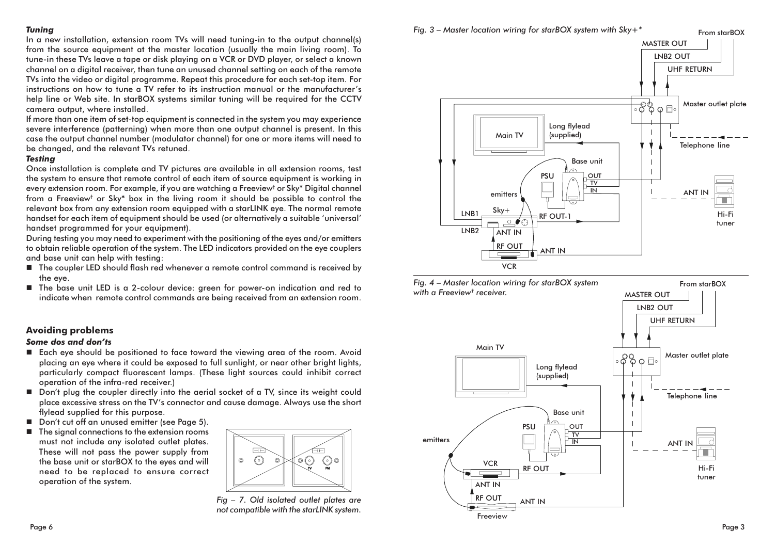#### **Tunina**

In a new installation, extension room TVs will need tuning-in to the output channel(s) from the source equipment at the master location (usually the main living room). To tune-in these TVs leave a tape or disk plaving on a VCR or DVD player, or select a known channel on a digital receiver, then tune an unused channel setting on each of the remote TVs into the video or digital programme. Repeat this procedure for each set-top item. For instructions on how to tune a TV refer to its instruction manual or the manufacturer's help line or Web site. In starBOX systems similar tuning will be required for the CCTV camera output, where installed.

If more than one item of set-top equipment is connected in the system you may experience severe interference (patterning) when more than one output channel is present. In this case the output channel number (modulator channel) for one or more items will need to be changed, and the relevant TVs retuned.

#### **Testina**

Once installation is complete and TV pictures are available in all extension rooms, test the system to ensure that remote control of each item of source eauipment is working in every extension room. For example, if you are watching a Freeview<sup>†</sup> or Sky\* Digital channel from a Freeview<sup>†</sup> or Sky\* box in the living room it should be possible to control the relevant box from any extension room equipped with a starLINK eye. The normal remote handset for each item of equipment should be used (or alternatively a suitable 'universal' handset programmed for your equipment).

During testing you may need to experiment with the positioning of the eves and/or emitters to obtain reliable operation of the system. The LED indicators provided on the eye couplers and base unit can help with testina:

- The coupler LED should flash red whenever a remote control command is received by the eve.
- The base unit LED is a 2-colour device: areen for power-on indication and red to indicate when remote control commands are being received from an extension room.

#### **Avoiding problems**

#### Some dos and don'ts

- Each eye should be positioned to face toward the viewing area of the room. Avoid placing an eye where it could be exposed to full sunlight, or near other bright lights, particularly compact fluorescent lamps. (These light sources could inhibit correct operation of the infra-red receiver.)
- Don't plug the coupler directly into the gerial socket of a TV, since its weight could place excessive stress on the TV's connector and cause damage. Always use the short flylead supplied for this purpose.
- Don't cut off an unused emitter (see Page 5).
- $\blacksquare$  The signal connections to the extension rooms must not include any isolated outlet plates. These will not pass the power supply from the base unit or starBOX to the eyes and will need to be replaced to ensure correct operation of the system.



Fig - 7. Old isolated outlet plates are not compatible with the starLINK system.



Fig. 4 - Master location wiring for starBOX system with a Freeview<sup>t</sup> receiver. **MASTER OUT** 

Fig. 3 – Master location wiring for starBOX system with  $Sky + *$ 



 $From  $starROX$$ 

From starBOX